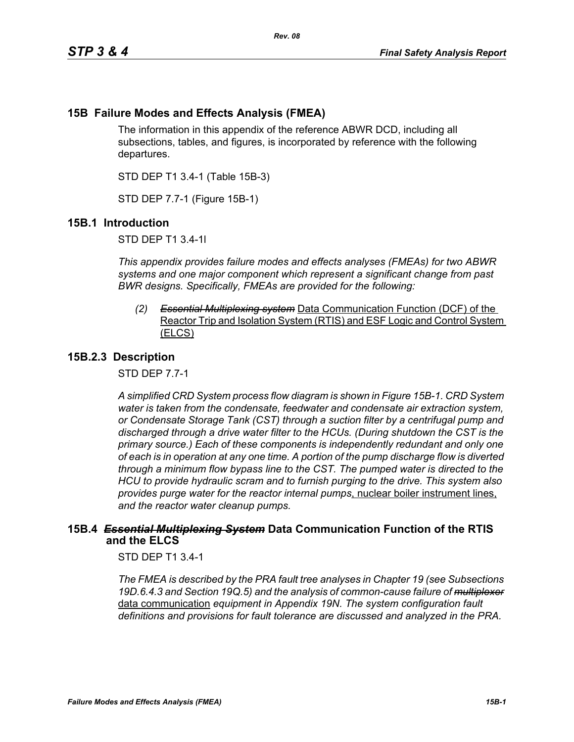# **15B Failure Modes and Effects Analysis (FMEA)**

The information in this appendix of the reference ABWR DCD, including all subsections, tables, and figures, is incorporated by reference with the following departures.

STD DEP T1 3.4-1 (Table 15B-3)

STD DEP 7.7-1 (Figure 15B-1)

## **15B.1 Introduction**

STD DEP T1 3.4-1l

*This appendix provides failure modes and effects analyses (FMEAs) for two ABWR systems and one major component which represent a significant change from past BWR designs. Specifically, FMEAs are provided for the following:*

*(2) Essential Multiplexing system* Data Communication Function (DCF) of the Reactor Trip and Isolation System (RTIS) and ESF Logic and Control System (ELCS)

## **15B.2.3 Description**

STD DEP 7.7-1

*A simplified CRD System process flow diagram is shown in Figure [15B-1.](#page-2-0) CRD System water is taken from the condensate, feedwater and condensate air extraction system, or Condensate Storage Tank (CST) through a suction filter by a centrifugal pump and discharged through a drive water filter to the HCUs. (During shutdown the CST is the primary source.) Each of these components is independently redundant and only one of each is in operation at any one time. A portion of the pump discharge flow is diverted through a minimum flow bypass line to the CST. The pumped water is directed to the HCU to provide hydraulic scram and to furnish purging to the drive. This system also provides purge water for the reactor internal pumps*, nuclear boiler instrument lines, *and the reactor water cleanup pumps.*

## **15B.4** *Essential Multiplexing System* **Data Communication Function of the RTIS and the ELCS**

STD DEP T1 3.4-1

*The FMEA is described by the PRA fault tree analyses in Chapter 19 (see Subsections 19D.6.4.3 and Section 19Q.5) and the analysis of common-cause failure of multiplexer* data communication *equipment in Appendix 19N. The system configuration fault definitions and provisions for fault tolerance are discussed and analyzed in the PRA.*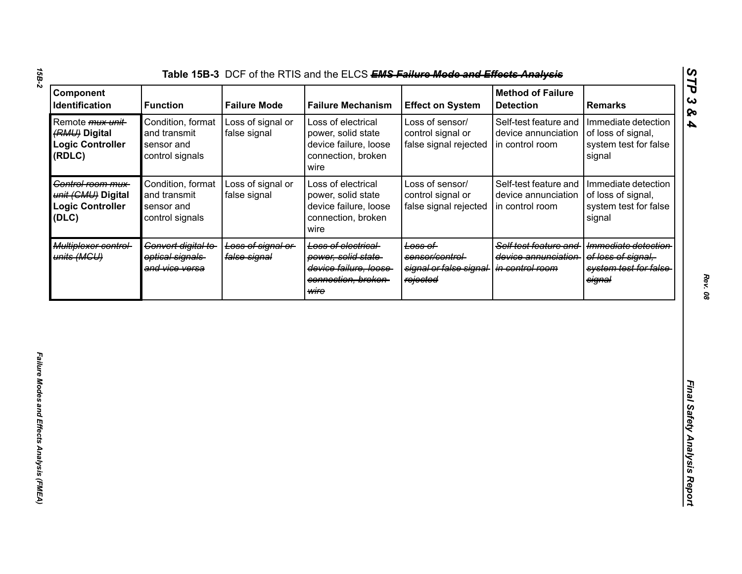| Component<br>Identification                                                    | <b>Function</b>                                                    | <b>Failure Mode</b>               | <b>Failure Mechanism</b>                                                                         | <b>Effect on System</b>                                           | <b>Method of Failure</b><br><b>Detection</b>                    | <b>Remarks</b>                                                                |
|--------------------------------------------------------------------------------|--------------------------------------------------------------------|-----------------------------------|--------------------------------------------------------------------------------------------------|-------------------------------------------------------------------|-----------------------------------------------------------------|-------------------------------------------------------------------------------|
| Remote <i>mux unit</i> -<br>(RMU) Digital<br><b>Logic Controller</b><br>(RDLC) | Condition, format<br>and transmit<br>sensor and<br>control signals | Loss of signal or<br>false signal | Loss of electrical<br>power, solid state<br>device failure, loose<br>connection, broken<br>wire  | Loss of sensor/<br>control signal or<br>false signal rejected     | Self-test feature and<br>device annunciation<br>in control room | Immediate detection<br>of loss of signal,<br>system test for false<br>signal  |
| Control room mux-<br>unit (CMU) Digital<br><b>Logic Controller</b><br>(DLC)    | Condition, format<br>and transmit<br>sensor and<br>control signals | Loss of signal or<br>false signal | Loss of electrical<br>power, solid state<br>device failure, loose<br>connection, broken<br>wire  | Loss of sensor/<br>control signal or<br>false signal rejected     | Self-test feature and<br>device annunciation<br>in control room | Immediate detection<br>of loss of signal,<br>system test for false<br>signal  |
| Multiplexer control-<br>units (MGU)                                            | Convert digital to<br>optical signals<br>and vice versa            | Loss of signal or<br>false signal | Loss of electrical<br>power, solid state<br>device failure, loose<br>connection, broken-<br>wire | Loss of<br>sensor/control-<br>signal or false signal-<br>rejected | Self test feature and<br>device annunciation<br>in control room | Immediate detection<br>of loss of signal.<br>system test for false-<br>signal |
|                                                                                |                                                                    |                                   |                                                                                                  |                                                                   |                                                                 |                                                                               |
|                                                                                |                                                                    |                                   |                                                                                                  |                                                                   |                                                                 |                                                                               |
|                                                                                |                                                                    |                                   |                                                                                                  |                                                                   |                                                                 |                                                                               |
|                                                                                |                                                                    |                                   |                                                                                                  |                                                                   |                                                                 |                                                                               |

*15B-2*